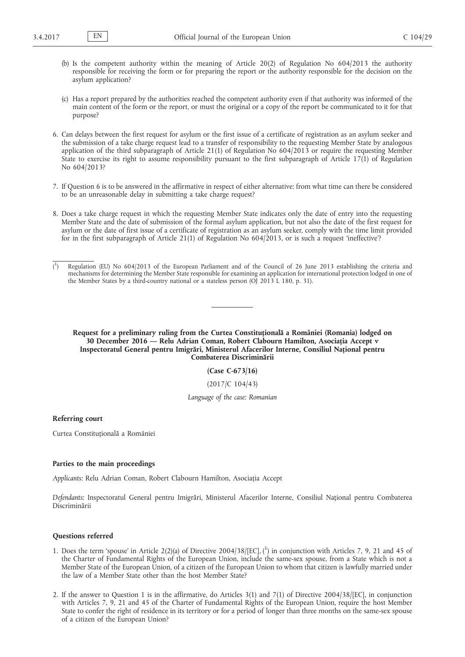- (b) Is the competent authority within the meaning of Article 20(2) of Regulation No 604/2013 the authority responsible for receiving the form or for preparing the report or the authority responsible for the decision on the asylum application?
- (c) Has a report prepared by the authorities reached the competent authority even if that authority was informed of the main content of the form or the report, or must the original or a copy of the report be communicated to it for that purpose?
- 6. Can delays between the first request for asylum or the first issue of a certificate of registration as an asylum seeker and the submission of a take charge request lead to a transfer of responsibility to the requesting Member State by analogous application of the third subparagraph of Article 21(1) of Regulation No 604/2013 or require the requesting Member State to exercise its right to assume responsibility pursuant to the first subparagraph of Article 17(1) of Regulation No 604/2013?
- 7. If Question 6 is to be answered in the affirmative in respect of either alternative: from what time can there be considered to be an unreasonable delay in submitting a take charge request?
- 8. Does a take charge request in which the requesting Member State indicates only the date of entry into the requesting Member State and the date of submission of the formal asylum application, but not also the date of the first request for asylum or the date of first issue of a certificate of registration as an asylum seeker, comply with the time limit provided for in the first subparagraph of Article 21(1) of Regulation No 604/2013, or is such a request 'ineffective'?
- $($ <sup>1</sup> ) Regulation (EU) No 604/2013 of the European Parliament and of the Council of 26 June 2013 establishing the criteria and mechanisms for determining the Member State responsible for examining an application for international protection lodged in one of the Member States by a third-country national or a stateless person (OJ 2013 L 180, p. 31).

**Request for a preliminary ruling from the Curtea Constituțională a României (Romania) lodged on 30 December 2016 — Relu Adrian Coman, Robert Clabourn Hamilton, Asociația Accept v Inspectoratul General pentru Imigrări, Ministerul Afacerilor Interne, Consiliul Național pentru Combaterea Discriminării**

**(Case C-673/16)**

(2017/C 104/43)

*Language of the case: Romanian*

**Referring court**

Curtea Constituțională a României

## **Parties to the main proceedings**

*Applicants:* Relu Adrian Coman, Robert Clabourn Hamilton, Asociația Accept

*Defendants:* Inspectoratul General pentru Imigrări, Ministerul Afacerilor Interne, Consiliul Național pentru Combaterea Discriminării

## **Questions referred**

- 1. Does the term 'spouse' in Article 2(2)(a) of Directive 2004/38/[EC], ( 1 ) in conjunction with Articles 7, 9, 21 and 45 of the Charter of Fundamental Rights of the European Union, include the same-sex spouse, from a State which is not a Member State of the European Union, of a citizen of the European Union to whom that citizen is lawfully married under the law of a Member State other than the host Member State?
- 2. If the answer to Question 1 is in the affirmative, do Articles 3(1) and 7(1) of Directive 2004/38/[EC], in conjunction with Articles 7, 9, 21 and 45 of the Charter of Fundamental Rights of the European Union, require the host Member State to confer the right of residence in its territory or for a period of longer than three months on the same-sex spouse of a citizen of the European Union?